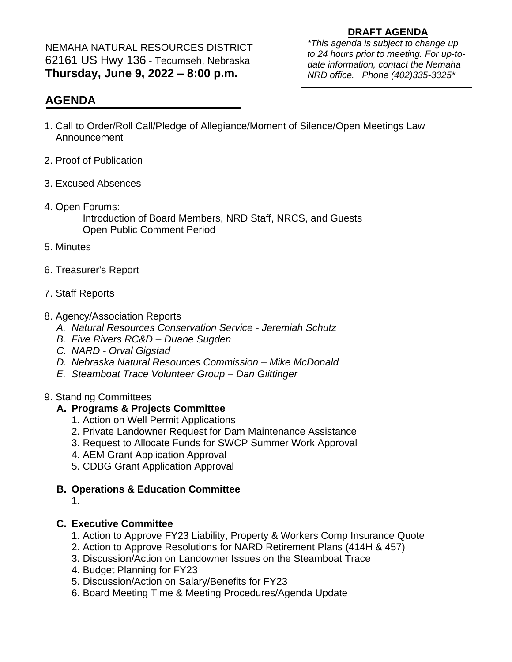### **DRAFT AGENDA**

NEMAHA NATURAL RESOURCES DISTRICT 62161 US Hwy 136 - Tecumseh, Nebraska **Thursday, June 9, 2022 – 8:00 p.m.**

*\*This agenda is subject to change up to 24 hours prior to meeting. For up-todate information, contact the Nemaha NRD office. Phone (402)335-3325\**

## **AGENDA**

- 1. Call to Order/Roll Call/Pledge of Allegiance/Moment of Silence/Open Meetings Law Announcement
- 2. Proof of Publication
- 3. Excused Absences
- 4. Open Forums:

Introduction of Board Members, NRD Staff, NRCS, and Guests Open Public Comment Period

- 5. Minutes
- 6. Treasurer's Report
- 7. Staff Reports
- 8. Agency/Association Reports
	- *A. Natural Resources Conservation Service - Jeremiah Schutz*
	- *B. Five Rivers RC&D – Duane Sugden*
	- *C. NARD - Orval Gigstad*
	- *D. Nebraska Natural Resources Commission – Mike McDonald*
	- *E. Steamboat Trace Volunteer Group – Dan Giittinger*

### 9. Standing Committees

## **A. Programs & Projects Committee**

- 1. Action on Well Permit Applications
- 2. Private Landowner Request for Dam Maintenance Assistance
- 3. Request to Allocate Funds for SWCP Summer Work Approval
- 4. AEM Grant Application Approval
- 5. CDBG Grant Application Approval
- **B. Operations & Education Committee**
	- 1.

## **C. Executive Committee**

- 1. Action to Approve FY23 Liability, Property & Workers Comp Insurance Quote
- 2. Action to Approve Resolutions for NARD Retirement Plans (414H & 457)
- 3. Discussion/Action on Landowner Issues on the Steamboat Trace
- 4. Budget Planning for FY23
- 5. Discussion/Action on Salary/Benefits for FY23
- 6. Board Meeting Time & Meeting Procedures/Agenda Update